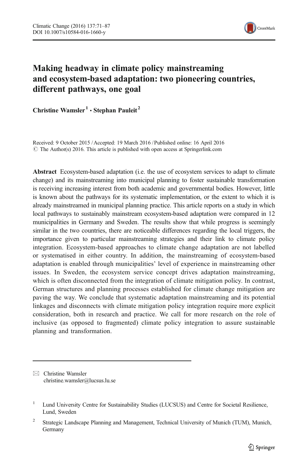

# Making headway in climate policy mainstreaming and ecosystem-based adaptation: two pioneering countries, different pathways, one goal

Christine Wamsler<sup>1</sup>  $\cdot$  Stephan Pauleit<sup>2</sup>

Received: 9 October 2015 /Accepted: 19 March 2016 / Published online: 16 April 2016  $\odot$  The Author(s) 2016. This article is published with open access at Springerlink.com

Abstract Ecosystem-based adaptation (i.e. the use of ecosystem services to adapt to climate change) and its mainstreaming into municipal planning to foster sustainable transformation is receiving increasing interest from both academic and governmental bodies. However, little is known about the pathways for its systematic implementation, or the extent to which it is already mainstreamed in municipal planning practice. This article reports on a study in which local pathways to sustainably mainstream ecosystem-based adaptation were compared in 12 municipalities in Germany and Sweden. The results show that while progress is seemingly similar in the two countries, there are noticeable differences regarding the local triggers, the importance given to particular mainstreaming strategies and their link to climate policy integration. Ecosystem-based approaches to climate change adaptation are not labelled or systematised in either country. In addition, the mainstreaming of ecosystem-based adaptation is enabled through municipalities' level of experience in mainstreaming other issues. In Sweden, the ecosystem service concept drives adaptation mainstreaming, which is often disconnected from the integration of climate mitigation policy. In contrast, German structures and planning processes established for climate change mitigation are paving the way. We conclude that systematic adaptation mainstreaming and its potential linkages and disconnects with climate mitigation policy integration require more explicit consideration, both in research and practice. We call for more research on the role of inclusive (as opposed to fragmented) climate policy integration to assure sustainable planning and transformation.

 $\boxtimes$  Christine Wamsler christine.wamsler@lucsus.lu.se

<sup>&</sup>lt;sup>1</sup> Lund University Centre for Sustainability Studies (LUCSUS) and Centre for Societal Resilience, Lund, Sweden

<sup>&</sup>lt;sup>2</sup> Strategic Landscape Planning and Management, Technical University of Munich (TUM), Munich, Germany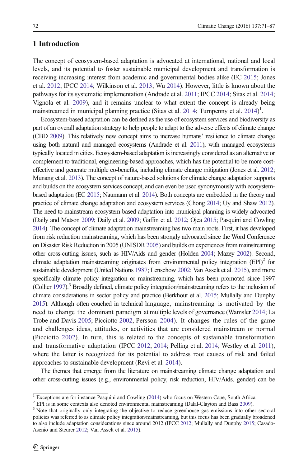# 1 Introduction

The concept of ecosystem-based adaptation is advocated at international, national and local levels, and its potential to foster sustainable municipal development and transformation is receiving increasing interest from academic and governmental bodies alike (EC [2015;](#page-14-0) Jones et al. [2012;](#page-14-0) IPCC [2014;](#page-14-0) Wilkinson et al. [2013](#page-16-0); Wu [2014\)](#page-16-0). However, little is known about the pathways for its systematic implementation (Andrade et al. [2011;](#page-13-0) IPCC [2014](#page-14-0); Sitas et al. [2014](#page-15-0); Vignola et al. [2009](#page-15-0)), and it remains unclear to what extent the concept is already being mainstreamed in municipal planning practice (Sitas et al. [2014](#page-15-0); Turnpenny et al. 2014)<sup>1</sup>.

Ecosystem-based adaptation can be defined as the use of ecosystem services and biodiversity as part of an overall adaptation strategy to help people to adapt to the adverse effects of climate change (CBD [2009\)](#page-13-0). This relatively new concept aims to increase humans' resilience to climate change using both natural and managed ecosystems (Andrade et al. [2011\)](#page-13-0), with managed ecosystems typically located in cities. Ecosystem-based adaptation is increasingly considered as an alternative or complement to traditional, engineering-based approaches, which has the potential to be more costeffective and generate multiple co-benefits, including climate change mitigation (Jones et al. [2012](#page-14-0); Munang et al. [2013](#page-15-0)). The concept of nature-based solutions for climate change adaptation supports and builds on the ecosystem services concept, and can even be used synonymously with ecosystembased adaptation (EC [2015](#page-14-0); Naumann et al. [2014\)](#page-15-0). Both concepts are embedded in the theory and practice of climate change adaptation and ecosystem services (Chong [2014;](#page-13-0) Uy and Shaw [2012](#page-15-0)). The need to mainstream ecosystem-based adaptation into municipal planning is widely advocated (Daily and Matson [2009;](#page-13-0) Daily et al. [2009;](#page-13-0) Gaffin et al. [2012;](#page-14-0) Ojea [2015;](#page-15-0) Pasquini and Cowling [2014](#page-15-0)). The concept of climate adaptation mainstreaming has two main roots. First, it has developed from risk reduction mainstreaming, which has been strongly advocated since the Word Conference on Disaster Risk Reduction in 2005 (UNISDR [2005\)](#page-15-0) and builds on experiences from mainstreaming other cross-cutting issues, such as HIV/Aids and gender (Holden [2004;](#page-14-0) Mazey [2002\)](#page-14-0). Second, climate adaptation mainstreaming originates from environmental policy integration  $(EPI)^2$  for sustainable development (United Nations [1987](#page-15-0); Lenschow [2002](#page-14-0); Van Asselt et al. [2015](#page-15-0)), and more specifically climate policy integration or mainstreaming, which has been promoted since 1997 (Collier [1997](#page-13-0)).3 Broadly defined, climate policy integration/mainstreaming refers to the inclusion of climate considerations in sector policy and practice (Berkhout et al. [2015](#page-13-0); Mullally and Dunphy [2015](#page-14-0)). Although often couched in technical language, mainstreaming is motivated by the need to change the dominant paradigm at multiple levels of governance (Wamsler [2014](#page-15-0); La Trobe and Davis [2005](#page-14-0); Picciotto [2002](#page-15-0), Persson [2004\)](#page-15-0). It changes the rules of the game and challenges ideas, attitudes, or activities that are considered mainstream or normal (Picciotto [2002\)](#page-15-0). In turn, this is related to the concepts of sustainable transformation and transformative adaptation (IPCC [2012,](#page-14-0) [2014](#page-14-0); Pelling et al. [2014](#page-15-0); Westley et al. [2011](#page-16-0)), where the latter is recognized for its potential to address root causes of risk and failed approaches to sustainable development (Revi et al. [2014\)](#page-15-0).

The themes that emerge from the literature on mainstreaming climate change adaptation and other cross-cutting issues (e.g., environmental policy, risk reduction, HIV/Aids, gender) can be

<sup>&</sup>lt;sup>1</sup> Exceptions are for instance Pasquini and Cowling [\(2014\)](#page-15-0) who focus on Western Cape, South Africa.<br><sup>2</sup> EPI is in some contexts also denoted environmental mainstreaming (Dalal-Clayton and Bass [2009\)](#page-13-0).<br><sup>3</sup> Note that origin policies was referred to as climate policy integration/mainstreaming, but this focus has been gradually broadened to also include adaptation considerations since around 2012 (IPCC [2012](#page-14-0); Mullally and Dunphy [2015;](#page-14-0) Casado-Asenio and Steurer [2012](#page-13-0); Van Asselt et al. [2015\)](#page-15-0).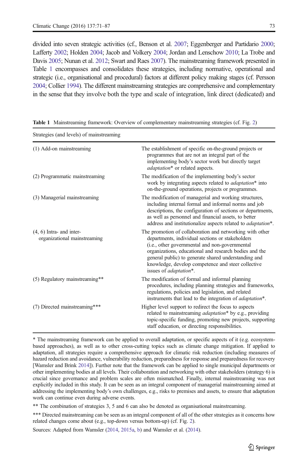<span id="page-2-0"></span>divided into seven strategic activities (cf., Benson et al. [2007](#page-13-0); Eggenberger and Partidario [2000](#page-14-0); Lafferty [2002](#page-14-0); Holden [2004](#page-14-0); Jacob and Volkery [2004;](#page-14-0) Jordan and Lenschow [2010;](#page-14-0) La Trobe and Davis [2005](#page-14-0); Nunan et al. [2012;](#page-15-0) Swart and Raes [2007\)](#page-15-0). The mainstreaming framework presented in Table 1 encompasses and consolidates these strategies, including normative, operational and strategic (i.e., organisational and procedural) factors at different policy making stages (cf. Persson [2004](#page-15-0); Collier [1994\)](#page-13-0). The different mainstreaming strategies are comprehensive and complementary in the sense that they involve both the type and scale of integration, link direct (dedicated) and

| Strategies (and levels) of mainstreaming                   |                                                                                                                                                                                                                                                                                                                                                                          |
|------------------------------------------------------------|--------------------------------------------------------------------------------------------------------------------------------------------------------------------------------------------------------------------------------------------------------------------------------------------------------------------------------------------------------------------------|
| (1) Add-on mainstreaming                                   | The establishment of specific on-the-ground projects or<br>programmes that are not an integral part of the<br>implementing body's sector work but directly target<br><i>adaptation*</i> or related aspects.                                                                                                                                                              |
| (2) Programmatic mainstreaming                             | The modification of the implementing body's sector<br>work by integrating aspects related to <i>adaptation</i> * into<br>on-the-ground operations, projects or programmes.                                                                                                                                                                                               |
| (3) Managerial mainstreaming                               | The modification of managerial and working structures,<br>including internal formal and informal norms and job<br>descriptions, the configuration of sections or departments,<br>as well as personnel and financial assets, to better<br>address and institutionalize aspects related to <i>adaptation*</i> .                                                            |
| $(4, 6)$ Intra- and inter-<br>organizational mainstreaming | The promotion of collaboration and networking with other<br>departments, individual sections or stakeholders<br>(i.e., other governmental and non-governmental<br>organizations, educational and research bodies and the<br>general public) to generate shared understanding and<br>knowledge, develop competence and steer collective<br>issues of <i>adaptation</i> *. |
| (5) Regulatory mainstreaming**                             | The modification of formal and informal planning<br>procedures, including planning strategies and frameworks,<br>regulations, policies and legislation, and related<br>instruments that lead to the integration of <i>adaptation</i> *.                                                                                                                                  |
| (7) Directed mainstreaming***                              | Higher level support to redirect the focus to aspects<br>related to mainstreaming <i>adaptation</i> * by e.g., providing<br>topic-specific funding, promoting new projects, supporting<br>staff education, or directing responsibilities.                                                                                                                                |

Table 1 Mainstreaming framework: Overview of complementary mainstreaming strategies (cf. Fig. [2](#page-8-0))

\* The mainstreaming framework can be applied to overall adaptation, or specific aspects of it (e.g. ecosystembased approaches), as well as to other cross-cutting topics such as climate change mitigation. If applied to adaptation, all strategies require a comprehensive approach for climatic risk reduction (including measures of hazard reduction and avoidance, vulnerability reduction, preparedness for response and preparedness for recovery [Wamsler and Brink [2014](#page-16-0)]). Further note that the framework can be applied to single municipal departments or other implementing bodies at all levels. Their collaboration and networking with other stakeholders (strategy 6) is crucial since governance and problem scales are often mismatched. Finally, internal mainstreaming was not explicitly included in this study. It can be seen as an integral component of managerial mainstreaming aimed at addressing the implementing body's own challenges, e.g., risks to premises and assets, to ensure that adaptation work can continue even during adverse events.

\*\* The combination of strategies 3, 5 and 6 can also be denoted as organisational mainstreaming.

\*\*\* Directed mainstreaming can be seen as an integral component of all of the other strategies as it concerns how related changes come about (e.g., top-down versus bottom-up) (cf. Fig. [2\)](#page-8-0).

Sources: Adapted from Wamsler [\(2014](#page-15-0), [2015a,](#page-16-0) [b\)](#page-16-0) and Wamsler et al. ([2014](#page-16-0)).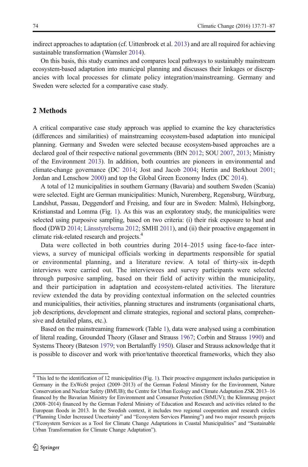indirect approaches to adaptation (cf. Uittenbroek et al. [2013](#page-15-0)) and are all required for achieving sustainable transformation (Wamsler [2014](#page-15-0)).

On this basis, this study examines and compares local pathways to sustainably mainstream ecosystem-based adaptation into municipal planning and discusses their linkages or discrepancies with local processes for climate policy integration/mainstreaming. Germany and Sweden were selected for a comparative case study.

# 2 Methods

A critical comparative case study approach was applied to examine the key characteristics (differences and similarities) of mainstreaming ecosystem-based adaptation into municipal planning. Germany and Sweden were selected because ecosystem-based approaches are a declared goal of their respective national governments (BfN [2012](#page-13-0); SOU [2007,](#page-15-0) [2013](#page-15-0); Ministry of the Environment [2013\)](#page-14-0). In addition, both countries are pioneers in environmental and climate-change governance (DC [2014;](#page-13-0) Jost and Jacob [2004](#page-14-0); Hertin and Berkhout [2001](#page-14-0); Jordan and Lenschow [2000\)](#page-14-0) and top the Global Green Economy Index (DC [2014\)](#page-13-0).

A total of 12 municipalities in southern Germany (Bavaria) and southern Sweden (Scania) were selected. Eight are German municipalities: Munich, Nuremberg, Regensburg, Würzburg, Landshut, Passau, Deggendorf and Freising, and four are in Sweden: Malmö, Helsingborg, Kristianstad and Lomma (Fig. [1\)](#page-4-0). As this was an exploratory study, the municipalities were selected using purposive sampling, based on two criteria: (i) their risk exposure to heat and flood (DWD [2014;](#page-13-0) [Länsstyrelserna 2012;](#page-14-0) SMHI [2011](#page-14-0)), and (ii) their proactive engagement in climate risk-related research and projects.<sup>4</sup>

Data were collected in both countries during 2014–2015 using face-to-face interviews, a survey of municipal officials working in departments responsible for spatial or environmental planning, and a literature review. A total of thirty-six in-depth interviews were carried out. The interviewees and survey participants were selected through purposive sampling, based on their field of activity within the municipality, and their participation in adaptation and ecosystem-related activities. The literature review extended the data by providing contextual information on the selected countries and municipalities, their activities, planning structures and instruments (organisational charts, job descriptions, development and climate strategies, regional and sectoral plans, comprehensive and detailed plans, etc.).

Based on the mainstreaming framework (Table [1\)](#page-2-0), data were analysed using a combination of literal reading, Grounded Theory (Glaser and Strauss [1967;](#page-14-0) Corbin and Strauss [1990](#page-13-0)) and Systems Theory (Bateson [1979](#page-13-0); von Bertalanffy [1950\)](#page-15-0). Glaser and Strauss acknowledge that it is possible to discover and work with prior/tentative theoretical frameworks, which they also

<sup>&</sup>lt;sup>4</sup> This led to the identification of [1](#page-4-0)2 municipalities (Fig. 1). Their proactive engagement includes participation in Germany in the ExWoSt project (2009–2013) of the German Federal Ministry for the Environment, Nature Conservation and Nuclear Safety (BMUB); the Centre for Urban Ecology and Climate Adaptation ZSK 2013–16 financed by the Bavarian Ministry for Environment and Consumer Protection (StMUV); the Klimmzug project (2008–2014) financed by the German Federal Ministry of Education and Research and activities related to the European floods in 2013. In the Swedish context, it includes two regional cooperation and research circles ("Planning Under Increased Uncertainty" and "Ecosystem Services Planning") and two major research projects ("Ecosystem Services as a Tool for Climate Change Adaptations in Coastal Municipalities" and "Sustainable Urban Transformation for Climate Change Adaptation").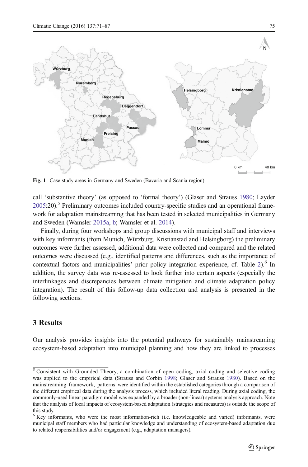<span id="page-4-0"></span>

Fig. 1 Case study areas in Germany and Sweden (Bavaria and Scania region)

call 'substantive theory' (as opposed to 'formal theory') (Glaser and Strauss [1980](#page-14-0); Layder  $2005:20$  $2005:20$ .<sup>5</sup> Preliminary outcomes included country-specific studies and an operational framework for adaptation mainstreaming that has been tested in selected municipalities in Germany and Sweden (Wamsler [2015a,](#page-16-0) [b](#page-16-0); Wamsler et al. [2014](#page-16-0)).

Finally, during four workshops and group discussions with municipal staff and interviews with key informants (from Munich, Würzburg, Kristianstad and Helsingborg) the preliminary outcomes were further assessed, additional data were collected and compared and the related outcomes were discussed (e.g., identified patterns and differences, such as the importance of contextual factors and municipalities' prior policy integration experience, cf. Table [2](#page-5-0)).<sup>6</sup> In addition, the survey data was re-assessed to look further into certain aspects (especially the interlinkages and discrepancies between climate mitigation and climate adaptation policy integration). The result of this follow-up data collection and analysis is presented in the following sections.

# 3 Results

Our analysis provides insights into the potential pathways for sustainably mainstreaming ecosystem-based adaptation into municipal planning and how they are linked to processes

<sup>&</sup>lt;sup>5</sup> Consistent with Grounded Theory, a combination of open coding, axial coding and selective coding was applied to the empirical data (Strauss and Corbin [1998](#page-15-0); Glaser and Strauss [1980\)](#page-14-0). Based on the mainstreaming framework, patterns were identified within the established categories through a comparison of the different empirical data during the analysis process, which included literal reading. During axial coding, the commonly-used linear paradigm model was expanded by a broader (non-linear) systems analysis approach. Note that the analysis of local impacts of ecosystem-based adaptation (strategies and measures) is outside the scope of this study.

<sup>&</sup>lt;sup>6</sup> Key informants, who were the most information-rich (i.e. knowledgeable and varied) informants, were municipal staff members who had particular knowledge and understanding of ecosystem-based adaptation due to related responsibilities and/or engagement (e.g., adaptation managers).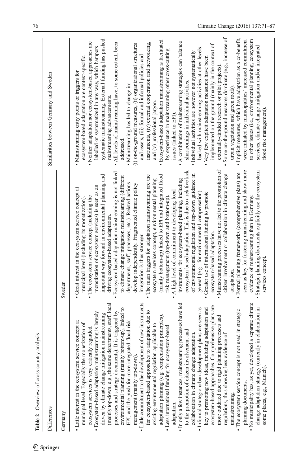<span id="page-5-0"></span>

| Table 2 Overview of cross-country analysis                                                                                                                                                                                                                                                                                                                                                                                                                                                                                                                                                                                                                                                                                                                                                                                                                                                                                                                                                                                                                                                                                                                                                                                                                                                                                                                                                                                                                                                                                                            |                                                                                                                                                                                                                                                                                                                                                                                                                                                                                                                                                                                                                                                                                                                                                                                                                                                                                                                                                                                                                                                                                                                                                                                                                                                                                                                                                                                                                                                                                                                                                           |                                                                                                                                                                                                                                                                                                                                                                                                                                                                                                                                                                                                                                                                                                                                                                                                                                                                                                                                                                                                                                                                                                                                                                                                                                                                                                                                                                                                                                                                                                                                                    |
|-------------------------------------------------------------------------------------------------------------------------------------------------------------------------------------------------------------------------------------------------------------------------------------------------------------------------------------------------------------------------------------------------------------------------------------------------------------------------------------------------------------------------------------------------------------------------------------------------------------------------------------------------------------------------------------------------------------------------------------------------------------------------------------------------------------------------------------------------------------------------------------------------------------------------------------------------------------------------------------------------------------------------------------------------------------------------------------------------------------------------------------------------------------------------------------------------------------------------------------------------------------------------------------------------------------------------------------------------------------------------------------------------------------------------------------------------------------------------------------------------------------------------------------------------------|-----------------------------------------------------------------------------------------------------------------------------------------------------------------------------------------------------------------------------------------------------------------------------------------------------------------------------------------------------------------------------------------------------------------------------------------------------------------------------------------------------------------------------------------------------------------------------------------------------------------------------------------------------------------------------------------------------------------------------------------------------------------------------------------------------------------------------------------------------------------------------------------------------------------------------------------------------------------------------------------------------------------------------------------------------------------------------------------------------------------------------------------------------------------------------------------------------------------------------------------------------------------------------------------------------------------------------------------------------------------------------------------------------------------------------------------------------------------------------------------------------------------------------------------------------------|----------------------------------------------------------------------------------------------------------------------------------------------------------------------------------------------------------------------------------------------------------------------------------------------------------------------------------------------------------------------------------------------------------------------------------------------------------------------------------------------------------------------------------------------------------------------------------------------------------------------------------------------------------------------------------------------------------------------------------------------------------------------------------------------------------------------------------------------------------------------------------------------------------------------------------------------------------------------------------------------------------------------------------------------------------------------------------------------------------------------------------------------------------------------------------------------------------------------------------------------------------------------------------------------------------------------------------------------------------------------------------------------------------------------------------------------------------------------------------------------------------------------------------------------------|
| Differences                                                                                                                                                                                                                                                                                                                                                                                                                                                                                                                                                                                                                                                                                                                                                                                                                                                                                                                                                                                                                                                                                                                                                                                                                                                                                                                                                                                                                                                                                                                                           |                                                                                                                                                                                                                                                                                                                                                                                                                                                                                                                                                                                                                                                                                                                                                                                                                                                                                                                                                                                                                                                                                                                                                                                                                                                                                                                                                                                                                                                                                                                                                           | Similarities between Germany and Sweden                                                                                                                                                                                                                                                                                                                                                                                                                                                                                                                                                                                                                                                                                                                                                                                                                                                                                                                                                                                                                                                                                                                                                                                                                                                                                                                                                                                                                                                                                                            |
| Germany                                                                                                                                                                                                                                                                                                                                                                                                                                                                                                                                                                                                                                                                                                                                                                                                                                                                                                                                                                                                                                                                                                                                                                                                                                                                                                                                                                                                                                                                                                                                               | Sweden                                                                                                                                                                                                                                                                                                                                                                                                                                                                                                                                                                                                                                                                                                                                                                                                                                                                                                                                                                                                                                                                                                                                                                                                                                                                                                                                                                                                                                                                                                                                                    |                                                                                                                                                                                                                                                                                                                                                                                                                                                                                                                                                                                                                                                                                                                                                                                                                                                                                                                                                                                                                                                                                                                                                                                                                                                                                                                                                                                                                                                                                                                                                    |
| • Little commitment to the development of new instruments<br>In only a few instances, mainstreaming processes have led<br>• No municipality has, as yet, developed a separate climate<br>(mainly top-down, e.g., the same departments, staff, local<br>ecosystem-based approaches. Comprehensive plans are<br>· Informal strategic urban development plans are seen as<br>key to promoting new ideas, including adaptation and<br>change adaptation strategy (currently in elaboration in<br>environmental planning (mainly bottom-up), linked to<br>• The ecosystem service concept is not used in strategic<br>for ecosystem-based approaches to adaptation due to<br>It is triggered by<br>· Ecosystem-based adaptation mainstreaming is largely<br>driven by climate change mitigation mainstreaming<br>adaptation planning (e.g. compensation principles).<br>more outdated due to rigid planning processes and<br>EPI, and the push for more integrated flood risk<br>Little interest in the ecosystem service concept at<br>municipal level. Especially the monetization of<br>existing environmental regulation applicable to<br>· Less international funding for ecosystem-based<br>ecosystem services is very critically regarded.<br>to the promotion of citizen involvement and<br>collaboration in climate change adaptation.<br>regulations, thus showing less evidence of<br>processes and strategy documents).<br>management (mainly top-down).<br>some places, e.g., Munich)<br>planning documents.<br>mainstreaming.<br>adaptation. | Mainstreaming processes have not led to the promotion of<br>seen as key for fostering mainstreaming and show more<br>ecosystem-based adaptation. This is due to a relative lack<br>Strategic planning documents explicitly use the ecosystem<br>Ecosystem-based adaptation mainstreaming is not linked<br>· Formal planning frameworks (comprehensive plans) are<br>of environmental regulation and top-down guidance in<br>citizen involvement or collaboration in climate change<br>important way forward in environmental planning and<br>(mainly bottom-up) linked to EPI and integrated flood<br>The main triggers for adaptation mainstreaming are the<br>to climate change mitigation mainstreaming (different<br>instruments for ecosystem-based planning, including<br>ecosystem services concept, environmental planning<br>departments, staff, processes, etc.). Related actions<br>develop independently. Fragmented climate policy<br>monetization of ecosystem services) is seen as an<br>Great interest in the ecosystem service concept at<br>A high level of commitment to developing local<br>general (e.g., for environmental compensation).<br>Greater use of international funding to promote<br>The ecosystem service concept (including the<br>risk management (top-down and bottom-up).<br>evidence of mainstreaming than in Germany.<br>municipal level (including its monetization).<br>driving ecosystem-based adaptation.<br>ecosystem-based adaptation.<br>integration is thus stronger.<br>services concept.<br>adaptation. | Some on-the-ground measures dominate (e.g., increase of<br>· Implicit measures, which have adaptation as a co-benefit,<br>systematic mainstreaming. External funding has pushed<br>were initiated by municipalities' increased commitment<br>to other issues (i.e., environmental planning, ecosystem<br>Ecosystem-based adaptation mainstreaming is facilitated<br>· Neither adaptation nor ecosystem-based approaches are<br>• A combination of mainstreaming strategies can balance<br>instruments, (iv) external cooperation and networking,<br>• All levels of mainstreaming have, to some extent, been<br>(i) on-the-ground measures, (ii) organizational structures<br>implemented on the ground (mainly in the context of<br>services, climate change mitigation and/or integrated<br>labelled or systematized in any way, which hampers<br>backed with mainstreaming activities at other levels.<br>by experience in mainstreaming other cross-cutting<br>· Individual activities are however not systematically<br>ecosystem-based adaptation are context-specific.<br>and assets, (iii) formal and informal policies and<br>• Very few explicit adaptation measures have been<br>externally-funded research or pilot projects)<br>Mainstreaming entry points or triggers for<br>shortcomings in individual activities.<br>· Mainstreaming has led to change in:<br>urban vegetation and green roofs).<br>mainstreaming advancements.<br>and (v) professional jargon.<br>flood risk management)<br>issues (linked to EPI).<br>addressed. |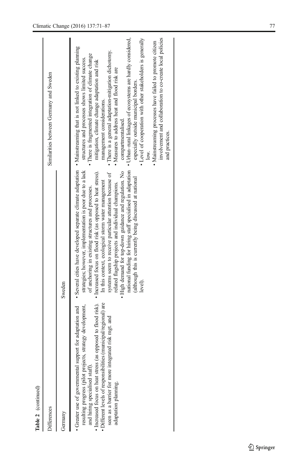| Table 2 (continued)                                                                                                                                                                                                                                                                                         |                                                                                                                                                                                                                                                                                                                                                                                                                                                                                                                                                                                                                                                                                                                                        |                                                                                                                                                                                                                                                                                                                                                                                                                                                                                                                                                                                                                                                  |
|-------------------------------------------------------------------------------------------------------------------------------------------------------------------------------------------------------------------------------------------------------------------------------------------------------------|----------------------------------------------------------------------------------------------------------------------------------------------------------------------------------------------------------------------------------------------------------------------------------------------------------------------------------------------------------------------------------------------------------------------------------------------------------------------------------------------------------------------------------------------------------------------------------------------------------------------------------------------------------------------------------------------------------------------------------------|--------------------------------------------------------------------------------------------------------------------------------------------------------------------------------------------------------------------------------------------------------------------------------------------------------------------------------------------------------------------------------------------------------------------------------------------------------------------------------------------------------------------------------------------------------------------------------------------------------------------------------------------------|
| Differences                                                                                                                                                                                                                                                                                                 |                                                                                                                                                                                                                                                                                                                                                                                                                                                                                                                                                                                                                                                                                                                                        | Similarities between Germany and Sweden                                                                                                                                                                                                                                                                                                                                                                                                                                                                                                                                                                                                          |
| Germany                                                                                                                                                                                                                                                                                                     | Sweden                                                                                                                                                                                                                                                                                                                                                                                                                                                                                                                                                                                                                                                                                                                                 |                                                                                                                                                                                                                                                                                                                                                                                                                                                                                                                                                                                                                                                  |
| · Increased focus on heat stress (as opposed to flood risk).<br>Different levels of responsibilities (municipal/regional) are<br>resulting progress (pilot projects, strategy development,<br>seen as a barrier for more integrated risk mgt. and<br>and hiring specialised staff).<br>adaptation planning. | • Greater use of governmental support for adaptation and • Several cities have developed separate climate adaptation • Mainstreaming that is not linked to existing planning<br>national funding for hiring staff specialised in adaptation<br>strategies; however, implementation is poor due to a lack<br>• High demand for top-down guidance and regulation. No<br>· Increased focus on flood risk (as opposed to heat stress).<br>systems seem to receive particular attention because of<br>(although this is currently being discussed at national<br>In this context, ecological storm water management<br>related flagship projects and individual champions.<br>of anchoring in existing structures and processes.<br>level). | • Level of cooperation with other stakeholders is generally<br>involvement and collaboration to co-create local policies<br>• Urban-rural linkages of ecosystems are hardly considered,<br>· Mainstreaming processes have failed to promote citizen<br>· There is a general adaptation-mitigation dichotomy.<br>• There is fragmented integration of climate change<br>structures and processes shows limited success.<br>mitigation, climate change adaptation and risk<br>• Measures to address heat and flood risk are<br>especially outside municipal borders.<br>management considerations.<br>compartmentalised.<br>and practices.<br>low. |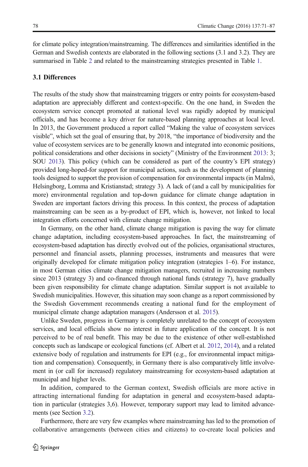<span id="page-7-0"></span>for climate policy integration/mainstreaming. The differences and similarities identified in the German and Swedish contexts are elaborated in the following sections (3.1 and 3.2). They are summarised in Table [2](#page-5-0) and related to the mainstreaming strategies presented in Table [1](#page-2-0).

#### 3.1 Differences

The results of the study show that mainstreaming triggers or entry points for ecosystem-based adaptation are appreciably different and context-specific. On the one hand, in Sweden the ecosystem service concept promoted at national level was rapidly adopted by municipal officials, and has become a key driver for nature-based planning approaches at local level. In 2013, the Government produced a report called "Making the value of ecosystem services visible", which set the goal of ensuring that, by 2018, "the importance of biodiversity and the value of ecosystem services are to be generally known and integrated into economic positions, political considerations and other decisions in society" (Ministry of the Environment [2013](#page-14-0): 3; SOU [2013\)](#page-15-0). This policy (which can be considered as part of the country's EPI strategy) provided long-hoped-for support for municipal actions, such as the development of planning tools designed to support the provision of compensation for environmental impacts (in Malmö, Helsingborg, Lomma and Kristianstad; strategy 3). A lack of (and a call by municipalities for more) environmental regulation and top-down guidance for climate change adaptation in Sweden are important factors driving this process. In this context, the process of adaptation mainstreaming can be seen as a by-product of EPI, which is, however, not linked to local integration efforts concerned with climate change mitigation.

In Germany, on the other hand, climate change mitigation is paving the way for climate change adaptation, including ecosystem-based approaches. In fact, the mainstreaming of ecosystem-based adaptation has directly evolved out of the policies, organisational structures, personnel and financial assets, planning processes, instruments and measures that were originally developed for climate mitigation policy integration (strategies 1–6). For instance, in most German cities climate change mitigation managers, recruited in increasing numbers since 2013 (strategy 3) and co-financed through national funds (strategy 7), have gradually been given responsibility for climate change adaptation. Similar support is not available to Swedish municipalities. However, this situation may soon change as a report commissioned by the Swedish Government recommends creating a national fund for the employment of municipal climate change adaptation managers (Andersson et al. [2015\)](#page-13-0).

Unlike Sweden, progress in Germany is completely unrelated to the concept of ecosystem services, and local officials show no interest in future application of the concept. It is not perceived to be of real benefit. This may be due to the existence of other well-established concepts such as landscape or ecological functions (cf. Albert et al. [2012,](#page-13-0) [2014\)](#page-13-0), and a related extensive body of regulation and instruments for EPI (e.g., for environmental impact mitigation and compensation). Consequently, in Germany there is also comparatively little involvement in (or call for increased) regulatory mainstreaming for ecosystem-based adaptation at municipal and higher levels.

In addition, compared to the German context, Swedish officials are more active in attracting international funding for adaptation in general and ecosystem-based adaptation in particular (strategies 3,6). However, temporary support may lead to limited advancements (see Section [3.2\)](#page-9-0).

Furthermore, there are very few examples where mainstreaming has led to the promotion of collaborative arrangements (between cities and citizens) to co-create local policies and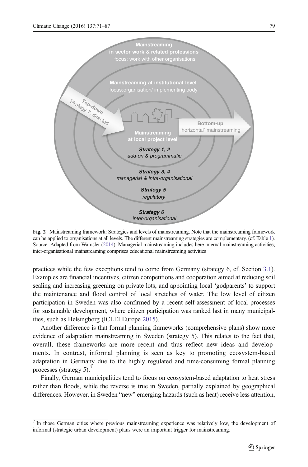<span id="page-8-0"></span>

Fig. 2 Mainstreaming framework: Strategies and levels of mainstreaming. Note that the mainstreaming framework can be applied to organisations at all levels. The different mainstreaming strategies are complementary. (cf. Table [1](#page-2-0)). Source: Adapted from Wamsler [\(2014](#page-15-0)). Managerial mainstreaming includes here internal mainstreaming activities; inter-organisational mainstreaming comprises educational mainstreaming activities

practices while the few exceptions tend to come from Germany (strategy 6, cf. Section [3.1](#page-7-0)). Examples are financial incentives, citizen competitions and cooperation aimed at reducing soil sealing and increasing greening on private lots, and appointing local 'godparents' to support the maintenance and flood control of local stretches of water. The low level of citizen participation in Sweden was also confirmed by a recent self-assessment of local processes for sustainable development, where citizen participation was ranked last in many municipalities, such as Helsingborg (ICLEI Europe [2015](#page-14-0)).

Another difference is that formal planning frameworks (comprehensive plans) show more evidence of adaptation mainstreaming in Sweden (strategy 5). This relates to the fact that, overall, these frameworks are more recent and thus reflect new ideas and developments. In contrast, informal planning is seen as key to promoting ecosystem-based adaptation in Germany due to the highly regulated and time-consuming formal planning processes (strategy 5).<sup>7</sup>

Finally, German municipalities tend to focus on ecosystem-based adaptation to heat stress rather than floods, while the reverse is true in Sweden, partially explained by geographical differences. However, in Sweden "new" emerging hazards (such as heat) receive less attention,

<sup>7</sup> In those German cities where previous mainstreaming experience was relatively low, the development of informal (strategic urban development) plans were an important trigger for mainstreaming.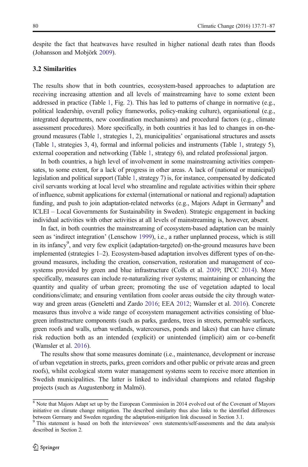<span id="page-9-0"></span>despite the fact that heatwaves have resulted in higher national death rates than floods (Johansson and Mobjörk [2009](#page-14-0)).

### 3.2 Similarities

The results show that in both countries, ecosystem-based approaches to adaptation are receiving increasing attention and all levels of mainstreaming have to some extent been addressed in practice (Table [1](#page-2-0), Fig. [2\)](#page-8-0). This has led to patterns of change in normative (e.g., political leadership, overall policy frameworks, policy-making culture), organisational (e.g., integrated departments, new coordination mechanisms) and procedural factors (e.g., climate assessment procedures). More specifically, in both countries it has led to changes in on-theground measures (Table [1,](#page-2-0) strategies 1, 2), municipalities' organisational structures and assets (Table [1,](#page-2-0) strategies 3, 4), formal and informal policies and instruments (Table [1](#page-2-0), strategy 5), external cooperation and networking (Table [1](#page-2-0), strategy 6), and related professional jargon.

In both countries, a high level of involvement in some mainstreaming activities compensates, to some extent, for a lack of progress in other areas. A lack of (national or municipal) legislation and political support (Table [1,](#page-2-0) strategy 7) is, for instance, compensated by dedicated civil servants working at local level who streamline and regulate activities within their sphere of influence, submit applications for external (international or national and regional) adaptation funding, and push to join adaptation-related networks (e.g., Majors Adapt in Germany<sup>8</sup> and ICLEI – Local Governments for Sustainability in Sweden). Strategic engagement in backing individual activities with other activities at all levels of mainstreaming is, however, absent.

In fact, in both countries the mainstreaming of ecosystem-based adaptation can be mainly seen as 'indirect integration' (Lenschow [1999\)](#page-14-0), i.e., a rather unplanned process, which is still in its infancy<sup>9</sup>, and very few explicit (adaptation-targeted) on-the-ground measures have been implemented (strategies 1–2). Ecosystem-based adaptation involves different types of on-theground measures, including the creation, conservation, restoration and management of ecosystems provided by green and blue infrastructure (Colls et al. [2009](#page-13-0); IPCC [2014](#page-14-0)). More specifically, measures can include re-naturalizing river systems; maintaining or enhancing the quantity and quality of urban green; promoting the use of vegetation adapted to local conditions/climate; and ensuring ventilation from cooler areas outside the city through waterway and green areas (Geneletti and Zardo [2016;](#page-14-0) EEA [2012;](#page-14-0) Wamsler et al. [2016](#page-16-0)). Concrete measures thus involve a wide range of ecosystem management activities consisting of bluegreen infrastructure components (such as parks, gardens, trees in streets, permeable surfaces, green roofs and walls, urban wetlands, watercourses, ponds and lakes) that can have climate risk reduction both as an intended (explicit) or unintended (implicit) aim or co-benefit (Wamsler et al. [2016](#page-16-0)).

The results show that some measures dominate (i.e., maintenance, development or increase of urban vegetation in streets, parks, green corridors and other public or private areas and green roofs), whilst ecological storm water management systems seem to receive more attention in Swedish municipalities. The latter is linked to individual champions and related flagship projects (such as Augustenborg in Malmö).

<sup>8</sup> Note that Majors Adapt set up by the European Commission in 2014 evolved out of the Covenant of Mayors initiative on climate change mitigation. The described similarity thus also links to the identified differences between Germany and Sweden regarding the adaptation-mitigation link discussed in Section 3.1.

<sup>&</sup>lt;sup>9</sup> This statement is based on both the interviewees' own statements/self-assessments and the data analysis described in Section 2.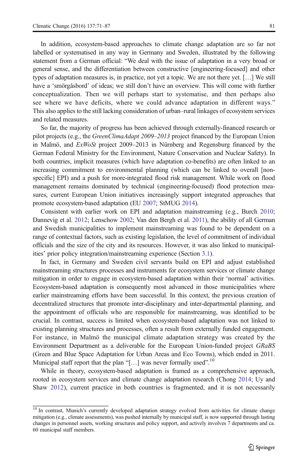In addition, ecosystem-based approaches to climate change adaptation are so far not labelled or systematised in any way in Germany and Sweden, illustrated by the following statement from a German official: "We deal with the issue of adaptation in a very broad or general sense, and the differentiation between constructive [engineering-focused] and other types of adaptation measures is, in practice, not yet a topic. We are not there yet. […] We still have a 'smörgåsbord' of ideas; we still don't have an overview. This will come with further conceptualization. Then we will perhaps start to systematise, and then perhaps also see where we have deficits, where we could advance adaptation in different ways." This also applies to the still lacking consideration of urban–rural linkages of ecosystem services and related measures.

So far, the majority of progress has been achieved through externally-financed research or pilot projects (e.g., the *GreenClimaAdapt 2009–2013* project financed by the European Union in Malmö, and ExWoSt project 2009–2013 in Nürnberg and Regensburg financed by the German Federal Ministry for the Environment, Nature Conservation and Nuclear Safety). In both countries, implicit measures (which have adaptation co-benefits) are often linked to an increasing commitment to environmental planning (which can be linked to overall [nonspecific] EPI) and a push for more-integrated flood risk management. While work on flood management remains dominated by technical (engineering-focused) flood protection measures, current European Union initiatives increasingly support integrated approaches that promote ecosystem-based adaptation (EU [2007](#page-15-0); StMUG [2014](#page-15-0)).

Consistent with earlier work on EPI and adaptation mainstreaming (e.g., Burch [2010](#page-13-0); Dannevig et al. [2012;](#page-13-0) Lenschow [2002](#page-14-0); Van den Bergh et al. [2011\)](#page-15-0), the ability of all German and Swedish municipalities to implement mainstreaming was found to be dependent on a range of contextual factors, such as existing legislation, the level of commitment of individual officials and the size of the city and its resources. However, it was also linked to municipalities' prior policy integration/mainstreaming experience (Section [3.1\)](#page-7-0).

In fact, in Germany and Sweden civil servants build on EPI and adjust established mainstreaming structures processes and instruments for ecosystem services or climate change mitigation in order to engage in ecosystem-based adaptation within their 'normal' activities. Ecosystem-based adaptation is consequently most advanced in those municipalities where earlier mainstreaming efforts have been successful. In this context, the previous creation of decentralized structures that promote inter-disciplinary and inter-departmental planning, and the appointment of officials who are responsible for mainstreaming, was identified to be crucial. In contrast, success is limited when ecosystem-based adaptation was not linked to existing planning structures and processes, often a result from externally funded engagement. For instance, in Malmö the municipal climate adaptation strategy was created by the Environment Department as a deliverable for the European Union-funded project GRaBS (Green and Blue Space Adaptation for Urban Areas and Eco Towns), which ended in 2011. Municipal staff report that the plan "[...] was never formally used".<sup>10</sup>

While in theory, ecosystem-based adaptation is framed as a comprehensive approach, rooted in ecosystem services and climate change adaptation research (Chong [2014;](#page-13-0) Uy and Shaw [2012\)](#page-15-0), current practice in both countries is fragmented, and it is not necessarily

 $\frac{10}{10}$  In contrast, Munich's currently developed adaptation strategy evolved from activities for climate change mitigation (e.g., climate assessments), was pushed internally by municipal staff, is now supported through lasting changes in personnel assets, working structures and policy support, and actively involves 7 departments and ca. 60 municipal staff members.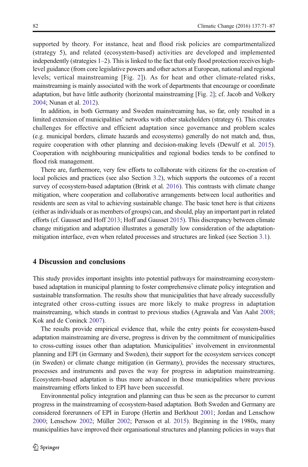supported by theory. For instance, heat and flood risk policies are compartmentalized (strategy 5), and related (ecosystem-based) activities are developed and implemented independently (strategies 1–2). This is linked to the fact that only flood protection receives highlevel guidance (from core legislative powers and other actors at European, national and regional levels; vertical mainstreaming [Fig. [2\]](#page-8-0)). As for heat and other climate-related risks, mainstreaming is mainly associated with the work of departments that encourage or coordinate adaptation, but have little authority (horizontal mainstreaming [Fig. [2\]](#page-8-0); cf. Jacob and Volkery [2004](#page-14-0); Nunan et al. [2012](#page-15-0)).

In addition, in both Germany and Sweden mainstreaming has, so far, only resulted in a limited extension of municipalities' networks with other stakeholders (strategy 6). This creates challenges for effective and efficient adaptation since governance and problem scales (e.g. municipal borders, climate hazards and ecosystems) generally do not match and, thus, require cooperation with other planning and decision-making levels (Dewulf et al. [2015](#page-13-0)). Cooperation with neighbouring municipalities and regional bodies tends to be confined to flood risk management.

There are, furthermore, very few efforts to collaborate with citizens for the co-creation of local policies and practices (see also Section [3.2](#page-9-0)), which supports the outcomes of a recent survey of ecosystem-based adaptation (Brink et al. [2016\)](#page-13-0). This contrasts with climate change mitigation, where cooperation and collaborative arrangements between local authorities and residents are seen as vital to achieving sustainable change. The basic tenet here is that citizens (either as individuals or as members of groups) can, and should, play an important part in related efforts (cf. Gausset and Hoff [2013;](#page-14-0) Hoff and Gausset [2015](#page-14-0)). This discrepancy between climate change mitigation and adaptation illustrates a generally low consideration of the adaptationmitigation interface, even when related processes and structures are linked (see Section [3.1\)](#page-7-0).

#### 4 Discussion and conclusions

This study provides important insights into potential pathways for mainstreaming ecosystembased adaptation in municipal planning to foster comprehensive climate policy integration and sustainable transformation. The results show that municipalities that have already successfully integrated other cross-cutting issues are more likely to make progress in adaptation mainstreaming, which stands in contrast to previous studies (Agrawala and Van Aalst [2008](#page-13-0); Kok and de Coninck [2007\)](#page-14-0).

The results provide empirical evidence that, while the entry points for ecosystem-based adaptation mainstreaming are diverse, progress is driven by the commitment of municipalities to cross-cutting issues other than adaptation. Municipalities' involvement in environmental planning and EPI (in Germany and Sweden), their support for the ecosystem services concept (in Sweden) or climate change mitigation (in Germany), provides the necessary structures, processes and instruments and paves the way for progress in adaptation mainstreaming. Ecosystem-based adaptation is thus more advanced in those municipalities where previous mainstreaming efforts linked to EPI have been successful.

Environmental policy integration and planning can thus be seen as the precursor to current progress in the mainstreaming of ecosystem-based adaptation. Both Sweden and Germany are considered forerunners of EPI in Europe (Hertin and Berkhout [2001;](#page-14-0) Jordan and Lenschow [2000](#page-14-0); Lenschow [2002](#page-14-0); Müller [2002;](#page-15-0) Persson et al. [2015](#page-15-0)). Beginning in the 1980s, many municipalities have improved their organisational structures and planning policies in ways that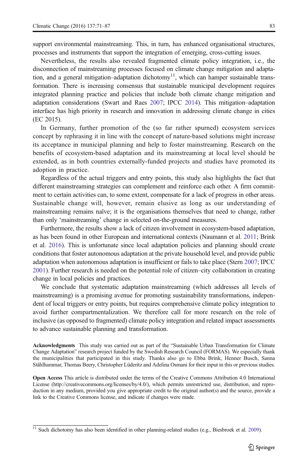support environmental mainstreaming. This, in turn, has enhanced organisational structures, processes and instruments that support the integration of emerging, cross-cutting issues.

Nevertheless, the results also revealed fragmented climate policy integration, i.e., the disconnection of mainstreaming processes focused on climate change mitigation and adaptation, and a general mitigation–adaptation dichotomy<sup>11</sup>, which can hamper sustainable transformation. There is increasing consensus that sustainable municipal development requires integrated planning practice and policies that include both climate change mitigation and adaptation considerations (Swart and Raes [2007;](#page-15-0) IPCC [2014](#page-14-0)). This mitigation–adaptation interface has high priority in research and innovation in addressing climate change in cities (EC 2015).

In Germany, further promotion of the (so far rather spurned) ecosystem services concept by rephrasing it in line with the concept of nature-based solutions might increase its acceptance in municipal planning and help to foster mainstreaming. Research on the benefits of ecosystem-based adaptation and its mainstreaming at local level should be extended, as in both countries externally-funded projects and studies have promoted its adoption in practice.

Regardless of the actual triggers and entry points, this study also highlights the fact that different mainstreaming strategies can complement and reinforce each other. A firm commitment to certain activities can, to some extent, compensate for a lack of progress in other areas. Sustainable change will, however, remain elusive as long as our understanding of mainstreaming remains naïve; it is the organisations themselves that need to change, rather than only 'mainstreaming' change in selected on-the-ground measures.

Furthermore, the results show a lack of citizen involvement in ecosystem-based adaptation, as has been found in other European and international contexts (Naumann et al. [2011](#page-15-0); Brink et al. [2016\)](#page-13-0). This is unfortunate since local adaptation policies and planning should create conditions that foster autonomous adaptation at the private household level, and provide public adaptation when autonomous adaptation is insufficient or fails to take place (Stern [2007](#page-15-0); IPCC [2001](#page-14-0)). Further research is needed on the potential role of citizen–city collaboration in creating change in local policies and practices.

We conclude that systematic adaptation mainstreaming (which addresses all levels of mainstreaming) is a promising avenue for promoting sustainability transformations, independent of local triggers or entry points, but requires comprehensive climate policy integration to avoid further compartmentalization. We therefore call for more research on the role of inclusive (as opposed to fragmented) climate policy integration and related impact assessments to advance sustainable planning and transformation.

Acknowledgments This study was carried out as part of the "Sustainable Urban Transformation for Climate Change Adaptation" research project funded by the Swedish Research Council (FORMAS). We especially thank the municipalities that participated in this study. Thanks also go to Ebba Brink, Henner Busch, Sanna Ståhlhammar, Thomas Beery, Christopher Lüderitz and Adelina Osmani for their input in this or previous studies.

Open Access This article is distributed under the terms of the Creative Commons Attribution 4.0 International License (http://creativecommons.org/licenses/by/4.0/), which permits unrestricted use, distribution, and reproduction in any medium, provided you give appropriate credit to the original author(s) and the source, provide a link to the Creative Commons license, and indicate if changes were made.

 $\frac{11}{11}$  Such dichotomy has also been identified in other planning-related studies (e.g., Biesbroek et al. [2009\)](#page-13-0).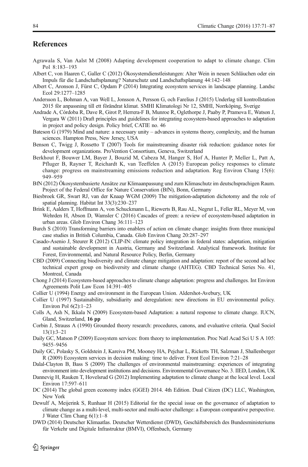# <span id="page-13-0"></span>References

- Agrawala S, Van Aalst M (2008) Adapting development cooperation to adapt to climate change. Clim Pol 8:183–193
- Albert C, von Haaren C, Galler C (2012) Ökosystemdienstleistungen: Alter Wein in neuen Schläuchen oder ein Impuls für die Landschaftsplanung? Naturschutz und Landschaftsplanung 44:142–148
- Albert C, Aronson J, Fürst C, Opdam P (2014) Integrating ecosystem services in landscape planning. Landsc Ecol 29:1277–1285
- Andersson L, Bohman A, van Well L, Jonsson A, Persson G, och Farelius J (2015) Underlag till kontrollstation 2015 för anpassning till ett förändrat klimat. SMHI Klimatologi Nr 12, SMHI, Norrköping, Sverige
- Andrade A, Córdoba R, Dave R, Girot P, Herrera-F B, Munroe R, Oglethorpe J, Paaby P, Pramova E, Watson J, Vergara W (2011) Draft principles and guidelines for integrating ecosystem-based approaches to adaptation in project and policy design. Policy brief, CATIE no. 46
- Bateson G (1979) Mind and nature: a necessary unity advances in systems theory, complexity, and the human sciences. Hampton Press, New Jersey, USA
- Benson C, Twigg J, Rossetto T (2007) Tools for mainstreaming disaster risk reduction: guidance notes for development organizations. ProVention Consortium, Geneva, Switzerland
- Berkhout F, Bouwer LM, Bayer J, Bouzid M, Cabeza M, Hanger S, Hof A, Hunter P, Meller L, Patt A, Pfluger B, Rayner T, Reichardt K, van Teeffelen A (2015) European policy responses to climate change: progress on mainstreaming emissions reduction and adaptation. Reg Environ Chang 15(6): 949–959
- BfN (2012) Ökosystembasierte Ansätze zur Klimaanpassung und zum Klimaschutz im deutschsprachigen Raum. Project of the Federal Office for Nature Conservation (BfN), Bonn, Germany
- Biesbroek GR, Swart RJ, van der Knaap WGM (2009) The mitigation-adaptation dichotomy and the role of spatial planning. Habitat Int 33(3):230–237
- Brink E, Aalders T, Hoffmann A, von Schuckmann L, Riewerts B, Rau AL, Negrut L, Feller RL, Meyer M, von Wehrden H, Abson D, Wamsler C (2016) Cascades of green: a review of ecosystem-based adaptation in urban areas. Glob Environ Chang 36:111–123
- Burch S (2010) Transforming barriers into enablers of action on climate change: insights from three municipal case studies in British Columbia, Canada. Glob Environ Chang 20:287–297
- Casado-Asenio J, Steurer R (2012) CLIP-IN: climate policy integration in federal states: adaptation, mitigation and sustainable development in Austria, Germany and Switzerland. Analytical framework. Institute for Forest, Environmental, and Natural Resource Policy, Berlin, Germany
- CBD (2009) Connecting biodiversity and climate change mitigation and adaptation: report of the second ad hoc technical expert group on biodiversity and climate change (AHTEG). CBD Technical Series No. 41, Montreal, Canada
- Chong J (2014) Ecosystem-based approaches to climate change adaptation: progress and challenges. Int Environ Agreements Polit Law Econ 14:391–405
- Collier U (1994) Energy and environment in the European Union. Aldershot-Avebury, UK
- Collier U (1997) Sustainability, subsidiarity and deregulation: new directions in EU environmental policy. Environ Pol 6(2):1–23
- Colls A, Ash N, Ikkala N (2009) Ecosystem-based Adaptation: a natural response to climate change. IUCN, Gland, Switzerland, 16 pp
- Corbin J, Strauss A (1990) Grounded theory research: procedures, canons, and evaluative criteria. Qual Sociol 13(1):3–21
- Daily GC, Matson P (2009) Ecosystem services: from theory to implementation. Proc Natl Acad Sci U S A 105: 9455–9456
- Daily GC, Polasky S, Goldstein J, Kareiva PM, Mooney HA, Pejchar L, Ricketts TH, Salzman J, Shallenberger R (2009) Ecosystem services in decision making: time to deliver. Front Ecol Environ 7:21–28
- Dalal-Clayton B, Bass S (2009) The challenges of environmental mainstreaming: experiences of integrating environment into development institutions and decisions. Environmental Governance No. 3. IIED, London, UK
- Dannevig H, Rauken T, Hovelsrud G (2012) Implementing adaptation to climate change at the local level. Local Environ 17:597–611
- DC (2014) The global green economy index (GGEI) 2014. 4th Edition. Dual Citizen (DC) LLC, Washington, New York
- Dewulf A, Meijerink S, Runhaar H (2015) Editorial for the special issue on the governance of adaptation to climate change as a multi-level, multi-sector and multi-actor challenge: a European comparative perspective. J Water Clim Chang 6(1):1–8
- DWD (2014) Deutscher Klimaatlas. Deutscher Wetterdienst (DWD), Geschäftsbereich des Bundesministeriums für Verkehr und Digitale Infrastruktur (BMVI), Offenbach, Germany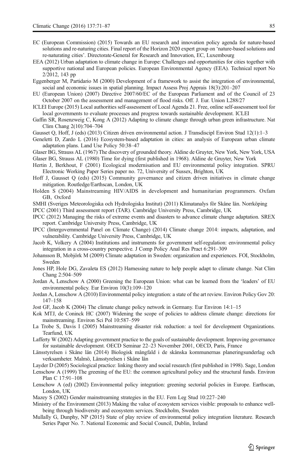- <span id="page-14-0"></span>EC (European Commission) (2015) Towards an EU research and innovation policy agenda for nature-based solutions and re-naturing cities. Final report of the Horizon 2020 expert group on 'nature-based solutions and re-naturating cities'. Directorate-General for Research and Innovation, EC, Luxembourg
- EEA (2012) Urban adaptation to climate change in Europe: Challenges and opportunities for cities together with supportive national and European policies. European Environmental Agency (EEA). Technical report No 2/2012, 143 pp

Eggenberger M, Partidario M (2000) Development of a framework to assist the integration of environmental, social and economic issues in spatial planning. Impact Assess Proj Apprais 18(3):201–207

- EU (European Union) (2007) Directive 2007/60/EC of the European Parliament and of the Council of 23 October 2007 on the assessment and management of flood risks. Off. J. Eur. Union L288/27
- ICLEI Europe (2015) Local authorities self-assessment of Local Agenda 21. Free, online self-assessment tool for local governments to evaluate processes and progress towards sustainable development. ICLEI
- Gaffin SR, Rosenzweig C, Kong A (2012) Adapting to climate change through urban green infrastructure. Nat Clim Chang 2(10):704–704
- Gausset Q, Hoff, J (eds) (2013) Citizen driven environmental action. J Transdiscipl Environ Stud 12(1):1–3
- Geneletti D, Zardo L (2016) Ecosystem-based adaptation in cities: an analysis of European urban climate adaptation plans. Land Use Policy 50:38–47
- Glaser BG, Strauss AL (1967) The discovery of grounded theory. Aldine de Gruyter, New York, New York, USA Glaser BG, Strauss AL (1980) Time for dying (first published in 1968). Aldine de Gruyter, New York
- Hertin J, Berkhout, F (2001) Ecological modernisation and EU environmental policy integration. SPRU
- Electronic Working Paper Series paper no. 72, University of Sussex, Brighton, UK Hoff J, Gausset Q (eds) (2015) Community governance and citizen driven initiatives in climate change
- mitigation. Routledge/Earthscan, London, UK
- Holden S (2004) Mainstreaming HIV/AIDS in development and humanitarian programmers. Oxfam GB, Oxford
- SMHI (Sveriges Meteorologiska och Hydrologiska Institut) (2011) Klimatanalys för Skåne län. Norrköping

IPCC (2001) Third assessment report (TAR). Cambridge University Press, Cambridge, UK

- IPCC (2012) Managing the risks of extreme events and disasters to advance climate change adaptation. SREX report. Cambridge University Press, Cambridge, UK
- IPCC (Intergovernmental Panel on Climate Change) (2014) Climate change 2014: impacts, adaptation, and vulnerability. Cambridge University Press, Cambridge, UK
- Jacob K, Volkery A (2004) Institutions and instruments for government self-regulation: environmental policy integration in a cross-country perspective. J Comp Policy Anal Res Pract 6:291–309
- Johansson B, Mobjörk M (2009) Climate adaptation in Sweden: organization and experiences. FOI, Stockholm, Sweden
- Jones HP, Hole DG, Zavaleta ES (2012) Harnessing nature to help people adapt to climate change. Nat Clim Chang 2:504–509
- Jordan A, Lenschow A (2000) Greening the European Union: what can be learned from the 'leaders' of EU environmental policy. Eur Environ 10(3):109–120
- Jordan A, Lenschow A (2010) Environmental policy integration: a state of the art review. Environ Policy Gov 20: 147–158
- Jost GF, Jacob K (2004) The climate change policy network in Germany. Eur Environ 14:1–15
- Kok MTJ, de Coninck HC (2007) Widening the scope of policies to address climate change: directions for mainstreaming. Environ Sci Pol 10:587–599
- La Trobe S, Davis I (2005) Mainstreaming disaster risk reduction: a tool for development Organizations. Tearfund, UK
- Lafferty W (2002) Adapting government practice to the goals of sustainable development. Improving governance for sustainable development. OECD Seminar 22–23 November 2001, OECD, Paris, France
- Länsstyrelsen i Skåne län (2014) Biologisk mångfald i de skånska kommunernas planeringsunderlag och verksamheter. Malmö, Länsstyrelsen i Skåne län
- Layder D (2005) Sociological practice: linking theory and social research (first published in 1998). Sage, London
- Lenschow A (1999) The greening of the EU: the common agricultural policy and the structural funds. Environ Plan C 17:91–108
- Lenschow A (ed) (2002) Environmental policy integration: greening sectorial policies in Europe. Earthscan, London, UK
- Mazey S (2002) Gender mainstreaming strategies in the EU. Fem Leg Stud 10:227–240
- Ministry of the Environment (2013) Making the value of ecosystem services visible: proposals to enhance wellbeing through biodiversity and ecosystem services. Stockholm, Sweden
- Mullally G, Dunphy, NP (2015) State of play review of environmental policy integration literature. Research Series Paper No. 7. National Economic and Social Council, Dublin, Ireland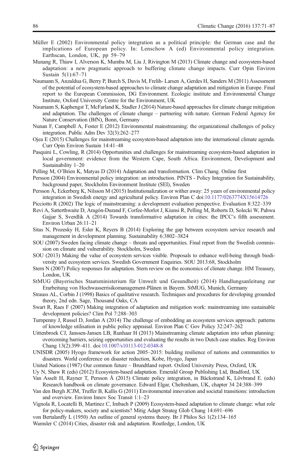- <span id="page-15-0"></span>Müller E (2002) Environmental policy integration as a political principle: the German case and the implications of European policy. In: Lenschow A (ed) Environmental policy integration. Earthscan, London, UK, pp 59–79
- Munang R, Thiaw I, Alverson K, Mumba M, Liu J, Rivington M (2013) Climate change and ecosystem-based adaptation: a new pragmatic approach to buffering climate change impacts. Curr Opin Environ Sustain 5(1):67–71
- Naumann S, Anzaldua G, Berry P, Burch S, Davis M, Frelih- Larsen A, Gerdes H, Sanders M (2011) Assessment of the potential of ecosystem-based approaches to climate change adaptation and mitigation in Europe. Final report to the European Commission, DG Environment. Ecologic institute and Environmental Change Institute, Oxford University Centre for the Environment, UK
- Naumann S, Kaphengst T, McFarland K, Stadler J (2014) Nature-based approaches for climate change mitigation and adaptation. The challenges of climate change – partnering with nature. German Federal Agency for Nature Conservation (BfN), Bonn, Germany
- Nunan F, Campbell A, Foster E (2012) Environmental mainstreaming: the organizational challenges of policy integration. Public Adm Dev 32(3):262–277
- Ojea E (2015) Challenges for mainstreaming ecosystem-based adaptation into the international climate agenda. Curr Opin Environ Sustain 14:41–48
- Pasquini L, Cowling, R (2014) Opportunities and challenges for mainstreaming ecosystem-based adaptation in local government: evidence from the Western Cape, South Africa. Environment, Development and Sustainability 1–20
- Pelling M, O'Brien K, Matyas D (2014) Adaptation and transformation. Clim Chang. Online first
- Persson (2004) Environmental policy integration: an introduction. PINTS Policy Integration for Sustainability, background paper, Stockholm Environment Institute (SEI), Sweden
- Persson Å, Eckerberg K, Nilsson M (2015) Institutionalization or wither away: 25 years of environmental policy integration in Swedish energy and agricultural policy. Environ Plan C doi[:10.1177/0263774X15614726](http://dx.doi.org/10.1177/0263774X15614726)
- Picciotto R (2002) The logic of mainstreaming: a development evaluation perspective. Evaluation 8:322–339
- Revi A, Satterthwaite D, Aragón-Durand F, Corfee-Morlot J, Kiunsi R, Pelling M, Roberts D, Solecki W, Pahwa Gajjar S, Sverdlik A (2014) Towards transformative adaptation in cities: the IPCC's fifth assessment. Environ Urban 26:11–21
- Sitas N, Prozesky H, Esler K, Reyers B (2014) Exploring the gap between ecosystem service research and management in development planning. Sustainability 6:3802–3824
- SOU (2007) Sweden facing climate change threats and opportunities. Final report from the Swedish commission on climate and vulnerability. Stockholm, Sweden
- SOU (2013) Making the value of ecosystem services visible. Proposals to enhance well-being through biodiversity and ecosystem services. Swedish Government Enquiries. SOU 2013:68, Stockholm
- Stern N (2007) Policy responses for adaptation. Stern review on the economics of climate change. HM Treasury, London, UK
- StMUG (Bayerisches Staatsministerium für Umwelt und Gesundheit) (2014) Handlungsanleitung zur Erarbeitung von Hochwasserrisikomanagement-Plänen in Bayern. StMUG, Munich, Germany
- Strauss AL, Corbin J (1998) Basics of qualitative research. Techniques and procedures for developing grounded theory, 2nd edn. Sage, Thousand Oaks, CA
- Swart R, Raes F (2007) Making integration of adaptation and mitigation work: mainstreaming into sustainable development policies? Clim Pol 7:288–303
- Turnpenny J, Russel D, Jordan A (2014) The challenge of embedding an ecosystem services approach: patterns of knowledge utilisation in public policy appraisal. Environ Plan C Gov Policy 32:247–262
- Uittenbroek CJ, Janssen-Jansen LB, Runhaar H (2013) Mainstreaming climate adaptation into urban planning: overcoming barriers, seizing opportunities and evaluating the results in two Dutch case studies. Reg Environ Chang 13(2):399–411. doi[:10.1007/s10113-012-0348-8](http://dx.doi.org/10.1007/s10113-012-0348-8)
- UNISDR (2005) Hyogo framework for action 2005–2015: building resilience of nations and communities to disasters. World conference on disaster reduction, Kobe, Hyogo, Japan
- United Nations (1987) Our common future Brundtland report. Oxford University Press, Oxford, UK
- Uy N, Shaw R (eds) (2012) Ecosystem-based adaptation. Emerald Group Publishing Ltd, Bradford, UK
- Van Asselt H, Rayner T, Persson Å (2015) Climate policy integration, in Bäckstrand K, Lövbrand E. (eds) Research handbook on climate governance. Edward Elgar, Cheltenham, UK, chapter 34 24:388–399
- Van den Bergh JCJM, Truffer B, Kallis G (2011) Environmental innovation and societal transitions: introduction and overview. Environ Innov Soc Transit 1:1–23
- Vignola R, Locatelli B, Martinez C, Imbach P (2009) Ecosystem-based adaptation to climate change: what role for policy-makers, society and scientists? Mitig Adapt Strateg Glob Chang 14:691–696
- von Bertalanffy L (1950) An outline of general systems theory. Br J Philos Sci 1(2):134–165
- Wamsler C (2014) Cities, disaster risk and adaptation. Routledge, London, UK